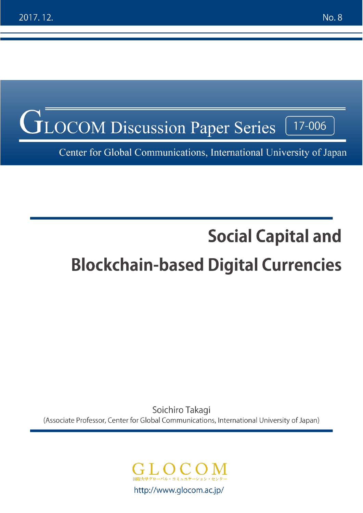

Center for Global Communications, International University of Japan

# **Social Capital and Blockchain-based Digital Currencies**

Soichiro Takagi (Associate Professor, Center for Global Communications, International University of Japan)

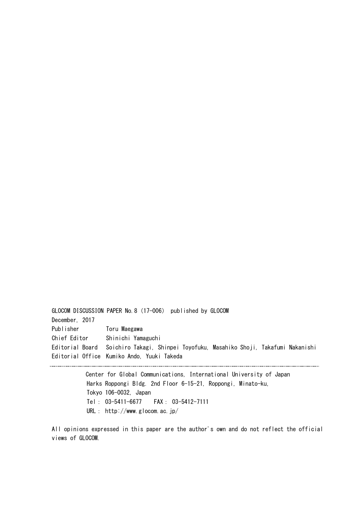GLOCOM DISCUSSION PAPER No.8(17-006) published by GLOCOM December, 2017 Publisher Toru Maegawa Chief Editor Shinichi Yamaguchi Editorial Board Soichiro Takagi, Shinpei Toyofuku, Masahiko Shoji, Takafumi Nakanishi Editorial Office Kumiko Ando, Yuuki Takeda

> Center for Global Communications, International University of Japan Harks Roppongi Bldg. 2nd Floor 6-15-21, Roppongi, Minato-ku, Tokyo 106-0032, Japan Tel: 03-5411-6677 FAX: 03-5412-7111 URL: http://www.glocom.ac.jp/

All opinions expressed in this paper are the author's own and do not reflect the official views of GLOCOM.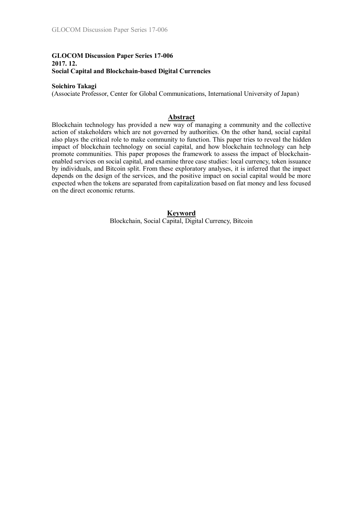## **GLOCOM Discussion Paper Series 17-006 2017. 12. Social Capital and Blockchain-based Digital Currencies**

#### **Soichiro Takagi**

(Associate Professor, Center for Global Communications, International University of Japan)

## **Abstract**

Blockchain technology has provided a new way of managing a community and the collective action of stakeholders which are not governed by authorities. On the other hand, social capital also plays the critical role to make community to function. This paper tries to reveal the hidden impact of blockchain technology on social capital, and how blockchain technology can help promote communities. This paper proposes the framework to assess the impact of blockchainenabled services on social capital, and examine three case studies: local currency, token issuance by individuals, and Bitcoin split. From these exploratory analyses, it is inferred that the impact depends on the design of the services, and the positive impact on social capital would be more expected when the tokens are separated from capitalization based on fiat money and less focused on the direct economic returns.

#### **Keyword** Blockchain, Social Capital, Digital Currency, Bitcoin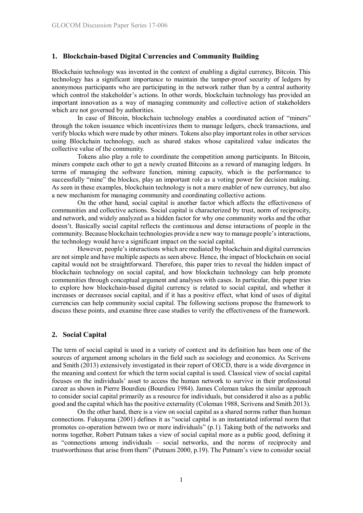## **1. Blockchain-based Digital Currencies and Community Building**

Blockchain technology was invented in the context of enabling a digital currency, Bitcoin. This technology has a significant importance to maintain the tamper-proof security of ledgers by anonymous participants who are participating in the network rather than by a central authority which control the stakeholder's actions. In other words, blockchain technology has provided an important innovation as a way of managing community and collective action of stakeholders which are not governed by authorities.

In case of Bitcoin, blockchain technology enables a coordinated action of "miners" through the token issuance which incentivizes them to manage ledgers, check transactions, and verify blocks which were made by other miners. Tokens also play important roles in other services using Blockchain technology, such as shared stakes whose capitalized value indicates the collective value of the community.

Tokens also play a role to coordinate the competition among participants. In Bitcoin, miners compete each other to get a newly created Bitcoins as a reward of managing ledgers. In terms of managing the software function, mining capacity, which is the performance to successfully "mine" the blockes, play an important role as a voting power for decision making. As seen in these examples, blockchain technology is not a mere enabler of new currency, but also a new mechanism for managing community and coordinating collective actions.

On the other hand, social capital is another factor which affects the effectiveness of communities and collective actions. Social capital is characterized by trust, norm of reciprocity, and network, and widely analyzed as a hidden factor for why one community works and the other doesn't. Basically social capital reflects the continuous and dense interactions of people in the community. Because blockchain technologies provide a new way to manage people's interactions, the technology would have a significant impact on the social capital.

However, people's interactions which are mediated by blockchain and digital currencies are not simple and have multiple aspects as seen above. Hence, the impact of blockchain on social capital would not be straightforward. Therefore, this paper tries to reveal the hidden impact of blockchain technology on social capital, and how blockchain technology can help promote communities through conceptual argument and analyses with cases. In particular, this paper tries to explore how blockchain-based digital currency is related to social capital, and whether it increases or decreases social capital, and if it has a positive effect, what kind of uses of digital currencies can help community social capital. The following sections propose the framework to discuss these points, and examine three case studies to verify the effectiveness of the framework.

#### **2. Social Capital**

The term of social capital is used in a variety of context and its definition has been one of the sources of argument among scholars in the field such as sociology and economics. As Scrivens and Smith (2013) extensively investigated in their report of OECD, there is a wide divergence in the meaning and context for which the term social capital is used. Classical view of social capital focuses on the individuals' asset to access the human network to survive in their professional career as shown in Pierre Bourdieu (Bourdieu 1984). James Coleman takes the similar approach to consider social capital primarily as a resource for individuals, but considered it also as a public good and the capital which has the positive externality (Coleman 1988, Scrivens and Smith 2013).

On the other hand, there is a view on social capital as a shared norms rather than human connections. Fukuyama (2001) defines it as "social capital is an instantiated informal norm that promotes co-operation between two or more individuals" (p.1). Taking both of the networks and norms together, Robert Putnam takes a view of social capital more as a public good, defining it as "connections among individuals – social networks, and the norms of reciprocity and trustworthiness that arise from them" (Putnam 2000, p.19). The Putnam's view to consider social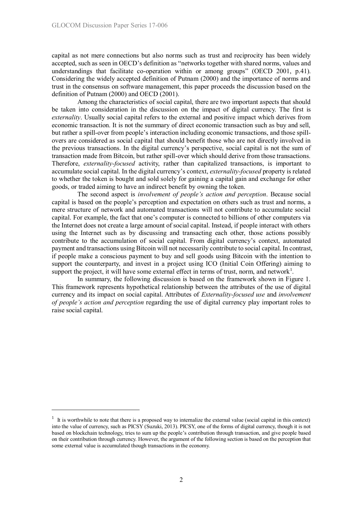capital as not mere connections but also norms such as trust and reciprocity has been widely accepted, such as seen in OECD's definition as "networks together with shared norms, values and understandings that facilitate co-operation within or among groups" (OECD 2001, p.41). Considering the widely accepted definition of Putnam (2000) and the importance of norms and trust in the consensus on software management, this paper proceeds the discussion based on the definition of Putnam (2000) and OECD (2001).

Among the characteristics of social capital, there are two important aspects that should be taken into consideration in the discussion on the impact of digital currency. The first is *externality*. Usually social capital refers to the external and positive impact which derives from economic transaction. It is not the summary of direct economic transaction such as buy and sell, but rather a spill-over from people's interaction including economic transactions, and those spillovers are considered as social capital that should benefit those who are not directly involved in the previous transactions. In the digital currency's perspective, social capital is not the sum of transaction made from Bitcoin, but rather spill-over which should derive from those transactions. Therefore, *externality-focused* activity, rather than capitalized transactions, is important to accumulate social capital. In the digital currency's context, *externality-focused* property is related to whether the token is bought and sold solely for gaining a capital gain and exchange for other goods, or traded aiming to have an indirect benefit by owning the token.

The second aspect is *involvement of people's action and perception*. Because social capital is based on the people's perception and expectation on others such as trust and norms, a mere structure of network and automated transactions will not contribute to accumulate social capital. For example, the fact that one's computer is connected to billions of other computers via the Internet does not create a large amount of social capital. Instead, if people interact with others using the Internet such as by discussing and transacting each other, those actions possibly contribute to the accumulation of social capital. From digital currency's context, automated payment and transactions using Bitcoin will not necessarily contribute to social capital. In contrast, if people make a conscious payment to buy and sell goods using Bitcoin with the intention to support the counterparty, and invest in a project using ICO (Initial Coin Offering) aiming to support the project, it will have some external effect in terms of trust, norm, and network<sup>1</sup>.

In summary, the following discussion is based on the framework shown in Figure 1. This framework represents hypothetical relationship between the attributes of the use of digital currency and its impact on social capital. Attributes of *Externality-focused use* and *involvement of people's action and perception* regarding the use of digital currency play important roles to raise social capital.

-

<sup>1</sup> It is worthwhile to note that there is a proposed way to internalize the external value (social capital in this context) into the value of currency, such as PICSY (Suzuki, 2013). PICSY, one of the forms of digital currency, though it is not based on blockchain technology, tries to sum up the people's contribution through transaction, and give people based on their contribution through currency. However, the argument of the following section is based on the perception that some external value is accumulated though transactions in the economy.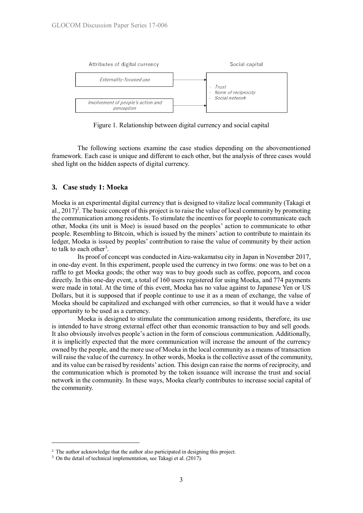

Figure 1. Relationship between digital currency and social capital

The following sections examine the case studies depending on the abovementioned framework. Each case is unique and different to each other, but the analysis of three cases would shed light on the hidden aspects of digital currency.

#### **3. Case study 1: Moeka**

Moeka is an experimental digital currency that is designed to vitalize local community (Takagi et al.,  $2017)^2$ . The basic concept of this project is to raise the value of local community by promoting the communication among residents. To stimulate the incentives for people to communicate each other, Moeka (its unit is Moe) is issued based on the peoples' action to communicate to other people. Resembling to Bitcoin, which is issued by the miners' action to contribute to maintain its ledger, Moeka is issued by peoples' contribution to raise the value of community by their action to talk to each other<sup>3</sup>.

Its proof of concept was conducted in Aizu-wakamatsu city in Japan in November 2017, in one-day event. In this experiment, people used the currency in two forms: one was to bet on a raffle to get Moeka goods; the other way was to buy goods such as coffee, popcorn, and cocoa directly. In this one-day event, a total of 160 users registered for using Moeka, and 774 payments were made in total. At the time of this event, Moeka has no value against to Japanese Yen or US Dollars, but it is supposed that if people continue to use it as a mean of exchange, the value of Moeka should be capitalized and exchanged with other currencies, so that it would have a wider opportunity to be used as a currency.

Moeka is designed to stimulate the communication among residents, therefore, its use is intended to have strong external effect other than economic transaction to buy and sell goods. It also obviously involves people's action in the form of conscious communication. Additionally, it is implicitly expected that the more communication will increase the amount of the currency owned by the people, and the more use of Moeka in the local community as a means of transaction will raise the value of the currency. In other words, Moeka is the collective asset of the community, and its value can be raised by residents' action. This design can raise the norms of reciprocity, and the communication which is promoted by the token issuance will increase the trust and social network in the community. In these ways, Moeka clearly contributes to increase social capital of the community.

-

 $2\degree$  The author acknowledge that the author also participated in designing this project.

<sup>&</sup>lt;sup>3</sup> On the detail of technical implementation, see Takagi et al. (2017).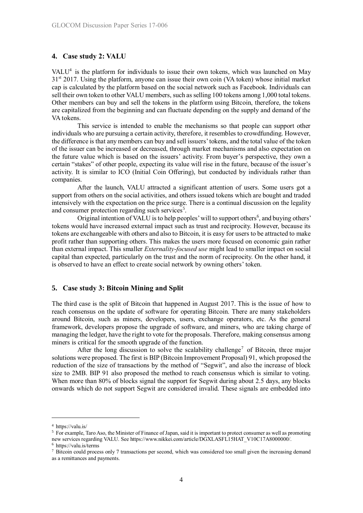#### **4. Case study 2: VALU**

VALU $<sup>4</sup>$  is the platform for individuals to issue their own tokens, which was launched on May</sup> 3<sup>1st</sup> 2017. Using the platform, anyone can issue their own coin (VA token) whose initial market cap is calculated by the platform based on the social network such as Facebook. Individuals can sell their own token to other VALU members, such as selling 100 tokens among 1,000 total tokens. Other members can buy and sell the tokens in the platform using Bitcoin, therefore, the tokens are capitalized from the beginning and can fluctuate depending on the supply and demand of the VA tokens.

This service is intended to enable the mechanisms so that people can support other individuals who are pursuing a certain activity, therefore, it resembles to crowdfunding. However, the difference is that any members can buy and sell issuers' tokens, and the total value of the token of the issuer can be increased or decreased, through market mechanisms and also expectation on the future value which is based on the issuers' activity. From buyer's perspective, they own a certain "stakes" of other people, expecting its value will rise in the future, because of the issuer's activity. It is similar to ICO (Initial Coin Offering), but conducted by individuals rather than companies.

After the launch, VALU attracted a significant attention of users. Some users got a support from others on the social activities, and others issued tokens which are bought and traded intensively with the expectation on the price surge. There is a continual discussion on the legality and consumer protection regarding such services<sup>5</sup>.

Original intention of VALU is to help peoples' will to support others<sup>6</sup>, and buying others' tokens would have increased external impact such as trust and reciprocity. However, because its tokens are exchangeable with others and also to Bitcoin, it is easy for users to be attracted to make profit rather than supporting others. This makes the users more focused on economic gain rather than external impact. This smaller *Externality-focused use* might lead to smaller impact on social capital than expected, particularly on the trust and the norm of reciprocity. On the other hand, it is observed to have an effect to create social network by owning others' token.

#### **5. Case study 3: Bitcoin Mining and Split**

The third case is the split of Bitcoin that happened in August 2017. This is the issue of how to reach consensus on the update of software for operating Bitcoin. There are many stakeholders around Bitcoin, such as miners, developers, users, exchange operators, etc. As the general framework, developers propose the upgrade of software, and miners, who are taking charge of managing the ledger, have the right to vote for the proposals. Therefore, making consensus among miners is critical for the smooth upgrade of the function.

After the long discussion to solve the scalability challenge<sup>7</sup> of Bitcoin, three major solutions were proposed. The first is BIP (Bitcoin Improvement Proposal) 91, which proposed the reduction of the size of transactions by the method of "Segwit", and also the increase of block size to 2MB. BIP 91 also proposed the method to reach consensus which is similar to voting. When more than 80% of blocks signal the support for Segwit during about 2.5 days, any blocks onwards which do not support Segwit are considered invalid. These signals are embedded into

-

<sup>6</sup> https://valu.is/terms

<sup>4</sup> https://valu.is/

<sup>5</sup> For example, Taro Aso, the Minister of Finance of Japan, said it is important to protect consumer as well as promoting new services regarding VALU. See https://www.nikkei.com/article/DGXLASFL15HAT\_V10C17A8000000.

<sup>7</sup> Bitcoin could process only 7 transactions per second, which was considered too small given the increasing demand as a remittances and payments.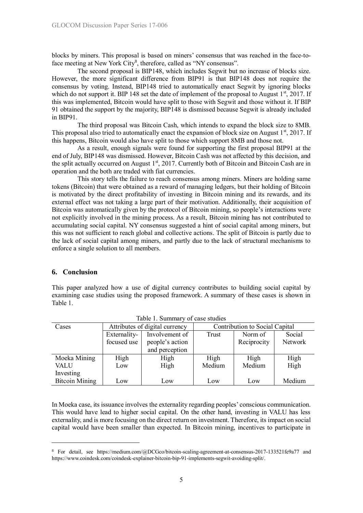blocks by miners. This proposal is based on miners' consensus that was reached in the face-toface meeting at New York City<sup>8</sup>, therefore, called as "NY consensus".

The second proposal is BIP148, which includes Segwit but no increase of blocks size. However, the more significant difference from BIP91 is that BIP148 does not require the consensus by voting. Instead, BIP148 tried to automatically enact Segwit by ignoring blocks which do not support it. BIP 148 set the date of implement of the proposal to August  $1<sup>st</sup>$ , 2017. If this was implemented, Bitcoin would have split to those with Segwit and those without it. If BIP 91 obtained the support by the majority, BIP148 is dismissed because Segwit is already included in BIP91.

The third proposal was Bitcoin Cash, which intends to expand the block size to 8MB. This proposal also tried to automatically enact the expansion of block size on August  $1<sup>st</sup>$ , 2017. If this happens, Bitcoin would also have split to those which support 8MB and those not.

As a result, enough signals were found for supporting the first proposal BIP91 at the end of July, BIP148 was dismissed. However, Bitcoin Cash was not affected by this decision, and the split actually occurred on August  $1<sup>st</sup>$ , 2017. Currently both of Bitcoin and Bitcoin Cash are in operation and the both are traded with fiat currencies.

This story tells the failure to reach consensus among miners. Miners are holding same tokens (Bitcoin) that were obtained as a reward of managing ledgers, but their holding of Bitcoin is motivated by the direct profitability of investing in Bitcoin mining and its rewards, and its external effect was not taking a large part of their motivation. Additionally, their acquisition of Bitcoin was automatically given by the protocol of Bitcoin mining, so people's interactions were not explicitly involved in the mining process. As a result, Bitcoin mining has not contributed to accumulating social capital. NY consensus suggested a hint of social capital among miners, but this was not sufficient to reach global and collective actions. The split of Bitcoin is partly due to the lack of social capital among miners, and partly due to the lack of structural mechanisms to enforce a single solution to all members.

## **6. Conclusion**

-

This paper analyzed how a use of digital currency contributes to building social capital by examining case studies using the proposed framework. A summary of these cases is shown in Table 1.

| Cases                 | Attributes of digital currency |                 | Contribution to Social Capital |             |         |
|-----------------------|--------------------------------|-----------------|--------------------------------|-------------|---------|
|                       | Externality-                   | Involvement of  | Trust                          | Norm of     | Social  |
|                       | focused use                    | people's action |                                | Reciprocity | Network |
|                       |                                | and perception  |                                |             |         |
| Moeka Mining          | High                           | High            | High                           | High        | High    |
| <b>VALU</b>           | Low                            | High            | Medium                         | Medium      | High    |
| Investing             |                                |                 |                                |             |         |
| <b>Bitcoin Mining</b> | Low                            | Low             | Low                            | Low         | Medium  |

Table 1. Summary of case studies

In Moeka case, its issuance involves the externality regarding peoples' conscious communication. This would have lead to higher social capital. On the other hand, investing in VALU has less externality, and is more focusing on the direct return on investment. Therefore, its impact on social capital would have been smaller than expected. In Bitcoin mining, incentives to participate in

<sup>&</sup>lt;sup>8</sup> For detail, see https://medium.com/@DCGco/bitcoin-scaling-agreement-at-consensus-2017-133521fe9a77 and https://www.coindesk.com/coindesk-explainer-bitcoin-bip-91-implements-segwit-avoiding-split/.